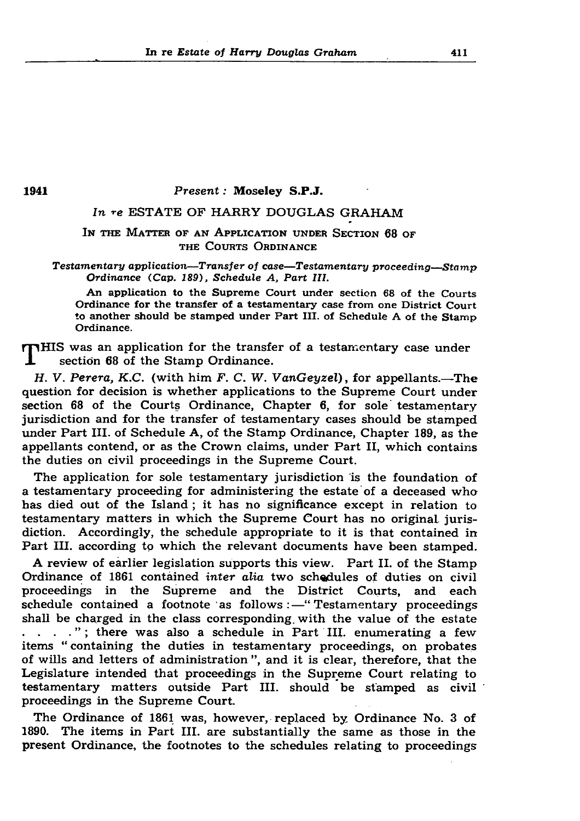In re *Estate of Harry Douglas Graham* 411

1941 *Present: Moseley S.P.J.* 

# *In* re ESTATE OF HARRY DOUGLAS GRAHAM

IN THE MATTER OF AN APPLICATION UNDER SECTION 68 OF THE COURTS ORDINANCE

*Testamentary application—Transfer of case—Testamentary proceeding—Stamp* Ordinance (Cap. 189), Schedule A, Part III.

An application to the Supreme Court under section 68 of the Courts Ordinance for the transfer of a testamentary case from one District Court to another should be stamped under Part III. of Schedule A of the Stamp Ordinance.

 $\mathbf{T}$ HIS was an application for the transfer of a testamentary case under section 68 of the Stamp Ordinance.

*H. V. Perera, K.C.* (with him *F. C. W. VanGeyzel*), for appellants.—The question for decision is whether applications to the Supreme Court under section 68 of the Courts Ordinance, Chapter 6, for sole testamentary jurisdiction and for the transfer of testamentary cases should be stamped under Part III. of Schedule A, of the Stamp Ordinance, Chapter 189, as the appellants contend, or as the Crown claims, under Part II, which contains the duties on civil proceedings in the Supreme Court.

The application for sole testamentary jurisdiction is the foundation of a testamentary proceeding for administering the estate of a deceased who has died out of the Island; it has no significance except in relation to testamentary matters in which the Supreme Court has no original, jurisdiction. Accordingly, the schedule appropriate to it is that contained in Part III. according to which the relevant documents have been stamped.

The Ordinance of 1861 was, however, replaced by Ordinance No. 3 of 1890. The items in Part III. are substantially the same as those in the present Ordinance, the footnotes to the schedules relating to proceedings

A review of earlier legislation supports this view. Part II. of the Stamp Ordinance of 1861 contained *inter alia* two schedules of duties on civil proceedings in the Supreme and the District Courts, and each schedule contained a footnote as follows  $:$  "Testamentary proceedings shall be charged in the class corresponding, with the value of the estate ....."; there was also a schedule in Part III. enumerating a few items " containing the duties in testamentary proceedings, on probates of wills and letters of administration", and it is clear, therefore, that the Legislature intended that proceedings in the Supreme Court relating to testamentary matters outside Part III. should be stamped as civil proceedings in the Supreme Court.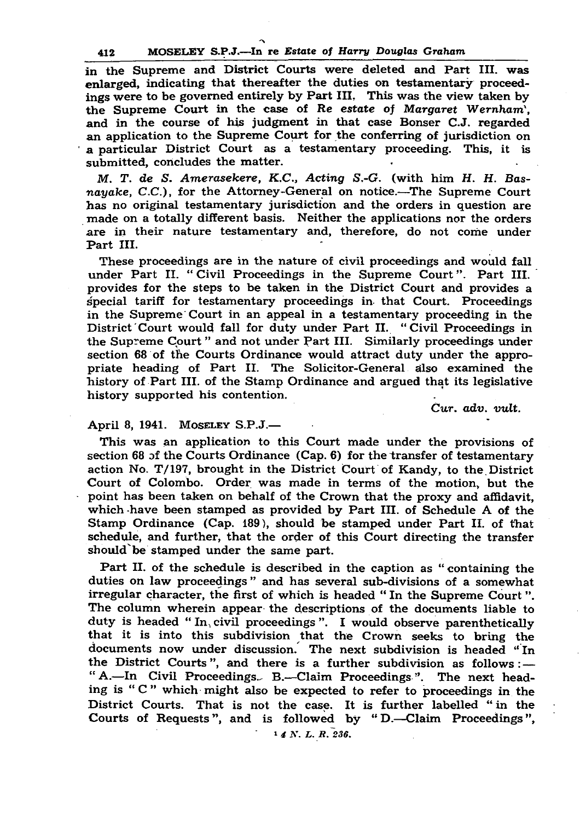### 412 MOSELEY S.P.J.—In re *Estate of Harry Douglas Graham*

 $\boldsymbol{\mathcal{L}}$ 

in the Supreme and District Courts were deleted and Part III. was enlarged, indicating that thereafter the duties on testamentary proceedings were to be governed entirely by Part III. This was the view taken by the Supreme Court in the case of Re estate of Margaret Wernham'. and in the course of his judgment in that case Bonser C.J. regarded an application to the Supreme Court for the conferring of jurisdiction on a particular District Court as a testamentary proceeding. This, it is submitted, concludes the matter.

*M. T. de S. Amerasekere, K.C., Acting S.-G.* (with him *H. H. Basnayake, C.C.*), for the Attorney-General on notice.—The Supreme Court has no original testamentary jurisdiction and the orders in question are made on a totally different basis. Neither the applications nor the orders are in their nature testamentary and, therefore, do not come under Part III.

Part II. of the schedule is described in the caption as " containing the duties on law proceedings" and has several sub-divisions of a somewhat irregular character, the first of which is headed "In the Supreme Court". The column wherein appear the descriptions of the documents liable to duty is headed " $In$ , civil proceedings". I would observe parenthetically that it is into this subdivision that the Crown seeks to bring the documents now under discussion. The next subdivision is headed " In the District Courts", and there is a further subdivision as follows  $:$   $-$ " A.—In Civil Proceedings. B.—Claim Proceedings.". The next heading is " C " which might also be expected to refer to proceedings in the District Courts. That is not the case. It is further labelled " in the Courts of Requests", and is followed by "D.—Claim Proceedings", <sup>1</sup> *4 N. L. R. 236.* 

These proceedings are in the nature of civil proceedings and would fall under Part II. "Civil Proceedings in the Supreme Court". Part III. provides for the steps to be taken in the District Court and provides a special tariff for testamentary proceedings in that Court. Proceedings in the Supreme Court in an appeal in a testamentary proceeding in the District Court would fall for duty under Part II. " Civil Proceedings in the Supreme Court " and not under Part III. Similarly proceedings under section 68 of the Courts Ordinance would attract duty under the appropriate heading of Part II. The Solicitor-General also examined the history of Part III. of the Stamp Ordinance and argued that its legislative history supported his contention.

Cur. *adv. vult.*

# April 8, 1941. MOSELEY  $S.P.J.$ —

This was an application to this Court made under the provisions of section 68 of the Courts Ordinance (Cap. 6) for the transfer of testamentary action No. T/197, brought in the District Court of Kandy, to the District Court of Colombo. Order was made in terms of the motion, but the point has been taken on behalf of the Crown that the proxy and affidavit, which have been stamped as provided by Part III. of Schedule A of the Stamp Ordinance (Cap. 189), should be stamped under Part II. of that schedule, and further, that the order of this Court directing the transfer should'be stamped under the same part.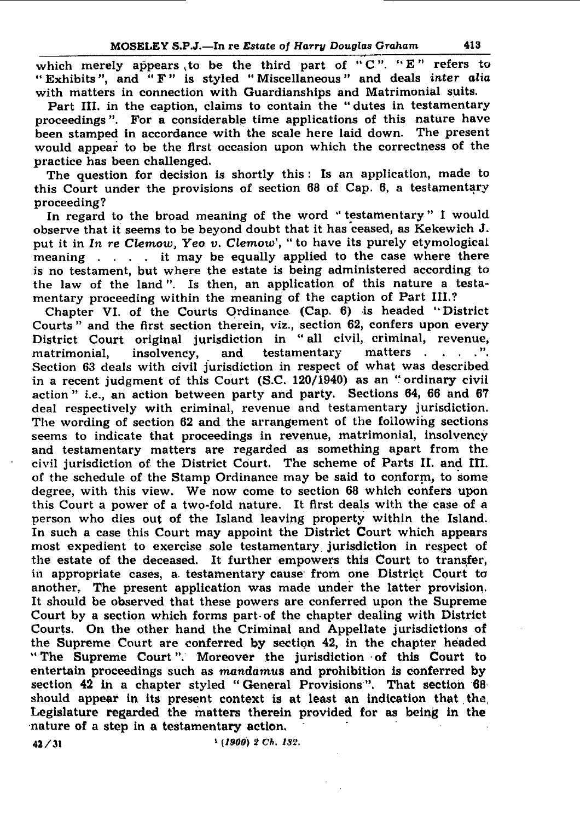## MOSELEY S.P.J.—In re *Estate of Harry Douglas Graham* 413

which merely appears to be the third part of " $C$ ". " $E$ " refers to " Exhibits", and "F" is styled "Miscellaneous" and deals inter alia with matters in connection with Guardianships and Matrimonial suits. Part III. in the caption, claims to contain the " dutes in testamentary proceedings". For a considerable time applications of this nature have been stamped in accordance with the scale here laid down. The present would appear to be the first occasion upon which the correctness of the practice has been challenged.

The question for decision is shortly this: Is an application, made to this Court under the provisions of section 68 of Cap. 6, a testamentary proceeding?

In regard to the broad meaning of the word "testamentary" I would

observe that it seems to be beyond doubt that it has ceased, as Kekewich J. put it in In re Clemow, Yeo v. Clemow', " to have its purely etymological meaning . . . . it may be equally applied to the case where there is no testament, but where the estate is being administered according to the law of the land". Is then, an application of this nature a testamentary proceeding within the meaning of the caption of Part III.? Chapter VI. of the Courts Ordinance (Cap. 6) is headed " District Courts" and the first section therein, viz., section 62, confers upon every District Court original jurisdiction in " all civil, criminal, revenue, matrimonial, insolvency, and testamentary matters . . . . ". Section 63 deals with civil jurisdiction in respect of what was described in a recent judgment of this Court (S.C. 120/1940) as an "ordinary civil action " *i.e.,* an action between party and party. Sections 64, 66 and 67 deal respectively with criminal, revenue and testamentary jurisdiction. The wording of section 62 and the arrangement of the following sections seems to indicate that proceedings in revenue, matrimonial, insolvency and testamentary matters are regarded as something apart from the civil jurisdiction of the District Court. The scheme of Parts II. and III. of the schedule of the Stamp Ordinance may be said to conform, to some degree, with this view. We now come to section 68 which confers upon this Court a power of a two-fold nature. It first deals with the case of a person who dies out of the Island leaving property within the Island. In such a case this Court may appoint the District Court which appears most expedient to exercise sole testamentary jurisdiction in respect of the estate of the deceased. It further em powers this Court to transfer, in appropriate cases, a. testamentary cause from one District Court to another. The present application was made under the latter provision. It should be observed that these powers are conferred upon the Supreme Court by a section which forms part of the chapter dealing with District Courts. On the other hand the Criminal and Appellate jurisdictions of the Supreme Court are conferred by section 42, in the chapter headed " The Supreme Court". Moreover the jurisdiction of this Court to entertain proceedings such as *mandamus* and prohibition is conferred by section  $42$  in a chapter styled " General Provisions". That section  $68$ should appear in its present context is at least an indication that the Legislature regarded the matters therein provided for as being in the nature of a step in a testamentary action.

4 **2** / 31 *i (1900) 2 Ch. 182.*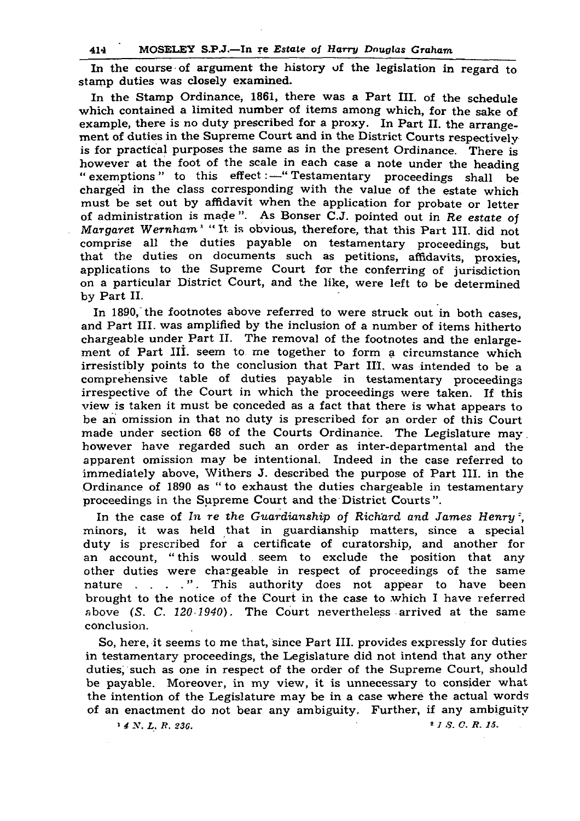### 414 MOSELEY S.P.J.—In re *Estate of Harry Douglas Graham*

In the course of argument the history of the legislation in regard to stamp duties was closely examined.

So, here, it seems to me that, since Part III. provides expressly for duties in testamentary proceedings, the Legislature did not intend that any other duties, such as one in respect of the order of the Supreme Court, should be payable. Moreover, in my view, it is unnecessary to consider what the intention of the Legislature may be in a case where the actual words of an enactment do not bear any ambiguity. Further, if any ambiguity  $1 \n4 N. L. R. 236.$   $236.$ 

In the Stamp Ordinance, 1861, there was a Part III. of the schedule which contained a limited number of items among which, for the sake of example, there is no duty prescribed for a proxy. In Part II. the arrangement of duties in the Supreme Court and in the District Courts respectively is for practical purposes the same as in the present Ordinance. There is however at the foot of the scale in each case a note under the heading " exemptions" to this effect:—" Testamentary proceedings shall be charged in the class corresponding with the value of the estate which must be set out by affidavit when the application for probate or letter of administration is made". As Bonser C.J. pointed out in *Re estate* of *Margaret Wernham*<sup>1</sup> "It is obvious, therefore, that this Part III. did not comprise all the duties payable on testamentary proceedings, but that the duties on documents such as petitions, affidavits, proxies, applications to the Supreme Court for the conferring of jurisdiction on a particular District Court, and the like, were left to be determined by Part II. In 1890, the footnotes above referred to were struck out in both cases, and Part III. was amplified by the inclusion of a number of items hitherto chargeable under Part II. The removal of the footnotes and the enlargement of Part III. seem to me together to form a circumstance which irresistibly points to the conclusion that Part III. was intended to be a comprehensive table of duties payable in testamentary proceedings irrespective of the Court in which the proceedings were taken. If this view is taken it must be conceded as a fact that there is what appears to be an omission in that no duty is prescribed for an order of this Court made under section 68 of the Courts Ordinance. The Legislature may however have regarded such an order as inter-departmental and the apparent omission may be intentional. Indeed in the case referred to immediately above, Withers J. described the purpose of Part III. in the Ordinance of 1890 as " to exhaust the duties chargeable in testamentary proceedings in the Supreme Court and the District Courts". In the case of *In re the Guardianship of Richard and James Henry*<sup>2</sup>, minors, it was held that in guardianship matters, since a special duty is prescribed for a certificate of curatorship, and another for an account, "this would seem to exclude the position that any other duties were chargeable in respect of proceedings of the same nature . . . . ". This authority does not appear to have been brought to the notice of the Court in the case to which I have referred above *(S. C. 120 1940).* The Court nevertheless arrived at the same conclusion.